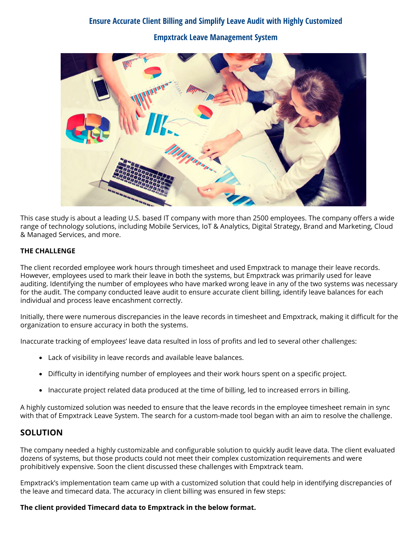# **Ensure Accurate Client Billing and Simplify Leave Audit with Highly Customized Empxtrack Leave Management System**



This case study is about a leading U.S. based IT company with more than 2500 employees. The company offers a wide range of technology solutions, including Mobile Services, IoT & Analytics, Digital Strategy, Brand and Marketing, Cloud & Managed Services, and more.

#### **THE CHALLENGE**

The client recorded employee work hours through timesheet and used Empxtrack to manage their leave records. However, employees used to mark their leave in both the systems, but Empxtrack was primarily used for leave auditing. Identifying the number of employees who have marked wrong leave in any of the two systems was necessary for the audit. The company conducted leave audit to ensure accurate client billing, identify leave balances for each individual and process leave encashment correctly.

Initially, there were numerous discrepancies in the leave records in timesheet and Empxtrack, making it difficult for the organization to ensure accuracy in both the systems.

Inaccurate tracking of employees' leave data resulted in loss of profits and led to several other challenges:

- Lack of visibility in leave records and available leave balances.
- Difficulty in identifying number of employees and their work hours spent on a specific project.
- Inaccurate project related data produced at the time of billing, led to increased errors in billing.

A highly customized solution was needed to ensure that the leave records in the employee timesheet remain in sync with that of Empxtrack Leave System. The search for a custom-made tool began with an aim to resolve the challenge.

## **SOLUTION**

The company needed a highly customizable and configurable solution to quickly audit leave data. The client evaluated dozens of systems, but those products could not meet their complex customization requirements and were prohibitively expensive. Soon the client discussed these challenges with Empxtrack team.

Empxtrack's implementation team came up with a customized solution that could help in identifying discrepancies of the leave and timecard data. The accuracy in client billing was ensured in few steps:

#### **The client provided Timecard data to Empxtrack in the below format.**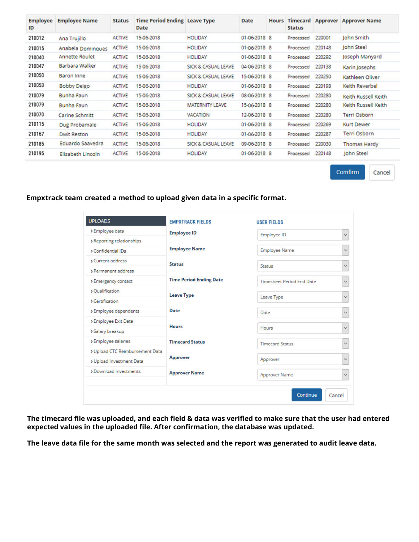| <b>Employee</b><br>ID | <b>Employee Name</b>  | <b>Status</b> | <b>Time Period Ending Leave Type</b><br>Date |                        | Date         | <b>Hours</b> | <b>Timecard</b><br><b>Status</b> | Approver | <b>Approver Name</b> |
|-----------------------|-----------------------|---------------|----------------------------------------------|------------------------|--------------|--------------|----------------------------------|----------|----------------------|
| 210012                | Ana Trujillo          | <b>ACTIVE</b> | 15-06-2018                                   | <b>HOLIDAY</b>         | 01-06-2018 8 |              | Processed                        | 220001   | John Smith           |
| 210015                | Anabela Domingues     | <b>ACTIVE</b> | 15-06-2018                                   | <b>HOLIDAY</b>         | 01-06-2018 8 |              | Processed                        | 220148   | John Steel           |
| 210040                | Annette Roulet        | <b>ACTIVE</b> | 15-06-2018                                   | <b>HOLIDAY</b>         | 01-06-2018 8 |              | Processed                        | 220292   | Joseph Manyard       |
| 210047                | Barbara Walker        | <b>ACTIVE</b> | 15-06-2018                                   | SICK & CASUAL LEAVE    | 04-06-2018 8 |              | Processed                        | 220138   | Karin Josephs        |
| 210050                | Baron Inne            | <b>ACTIVE</b> | 15-06-2018                                   | SICK & CASUAL LEAVE    | 15-06-2018 8 |              | Processed                        | 220250   | Kathleen Oliver      |
| 210053                | <b>Bobby Deigo</b>    | <b>ACTIVE</b> | 15-06-2018                                   | <b>HOLIDAY</b>         | 01-06-2018 8 |              | Processed                        | 220193   | Keith Reverbel       |
| 210079                | <b>Bunha Faun</b>     | <b>ACTIVE</b> | 15-06-2018                                   | SICK & CASUAL LEAVE    | 08-06-2018 8 |              | Processed                        | 220280   | Keith Russell Keith  |
| 210079                | Bunha Faun            | <b>ACTIVE</b> | 15-06-2018                                   | <b>MATERNITY LEAVE</b> | 15-06-2018 8 |              | Processed                        | 220280   | Keith Russell Keith  |
| 210070                | <b>Carine Schmitt</b> | <b>ACTIVE</b> | 15-06-2018                                   | <b>VACATION</b>        | 12-06-2018 8 |              | Processed                        | 220280   | <b>Terri Osborn</b>  |
| 210115                | Dug Probamale         | <b>ACTIVE</b> | 15-06-2018                                   | <b>HOLIDAY</b>         | 01-06-2018 8 |              | Processed                        | 220269   | Kurt Dewer           |
| 210167                | <b>Dwit Reston</b>    | <b>ACTIVE</b> | 15-06-2018                                   | <b>HOLIDAY</b>         | 01-06-2018 8 |              | Processed                        | 220287   | <b>Terri Osborn</b>  |
| 210185                | Eduardo Saavedra      | <b>ACTIVE</b> | 15-06-2018                                   | SICK & CASUAL LEAVE    | 09-06-2018 8 |              | Processed                        | 220030   | Thomas Hardy         |
| 210195                | Elizabeth Lincoln     | <b>ACTIVE</b> | 15-06-2018                                   | <b>HOLIDAY</b>         | 01-06-2018 8 |              | Processed                        | 220148   | John Steel           |

Comfirm

Cancel

**Empxtrack team created a method to upload given data in a specific format.**

| <b>UPLOADS</b>                  | <b>EMPXTRACK FIELDS</b>        | <b>USER FIELDS</b>                   |              |  |
|---------------------------------|--------------------------------|--------------------------------------|--------------|--|
| > Employee data                 | <b>Employee ID</b>             | Employee ID                          | $\checkmark$ |  |
| > Reporting relationships       |                                |                                      |              |  |
| > Confidential IDs              | <b>Employee Name</b>           | <b>Employee Name</b>                 | $\checkmark$ |  |
| <b>&gt;Current address</b>      | <b>Status</b>                  | <b>Status</b>                        | $\checkmark$ |  |
| > Permanent address             |                                |                                      |              |  |
| > Emergency contact             | <b>Time Period Ending Date</b> | <b>Timesheet Period End Date</b>     | $\checkmark$ |  |
| > Qualification                 | <b>Leave Type</b>              |                                      | $\checkmark$ |  |
| > Certification                 |                                | Leave Type                           |              |  |
| > Employee dependents           | Date                           | Date                                 | $\checkmark$ |  |
| > Employee Exit Data            | <b>Hours</b>                   |                                      |              |  |
| > Salary breakup                |                                | Hours                                | $\checkmark$ |  |
| > Employee salaries             | <b>Timecard Status</b>         | <b>Timecard Status</b>               | $\checkmark$ |  |
| > Upload CTC Reimbursement Data |                                |                                      |              |  |
| > Upload Investment Data        | Approver                       | Approver                             | $\checkmark$ |  |
| > Download Investments          | <b>Approver Name</b>           | <b>Approver Name</b><br>$\checkmark$ |              |  |

**The timecard file was uploaded, and each field & data was verified to make sure that the user had entered expected values in the uploaded file. After confirmation, the database was updated.**

**The leave data file for the same month was selected and the report was generated to audit leave data.**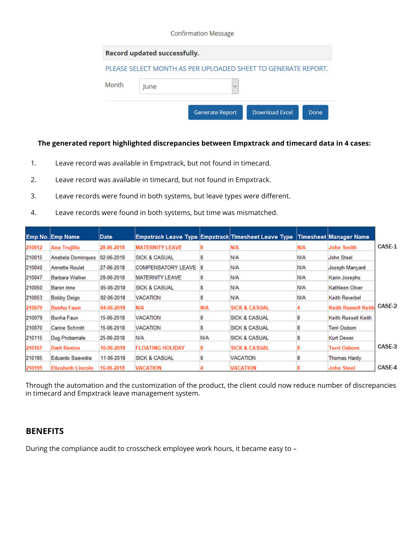|       | Record updated successfully. |                                                               |  |
|-------|------------------------------|---------------------------------------------------------------|--|
| Month |                              | PLEASE SELECT MONTH AS PER UPLOADED SHEET TO GENERATE REPORT. |  |
|       | lune                         | $\checkmark$                                                  |  |

### **The generated report highlighted discrepancies between Empxtrack and timecard data in 4 cases:**

- 1. Leave record was available in Empxtrack, but not found in timecard.
- 2. Leave record was available in timecard, but not found in Empxtrack.
- 3. Leave records were found in both systems, but leave types were different.
- 4. Leave records were found in both systems, but time was mismatched.

|        | <b>Emp No. Emp Name</b>  | Date       |                           |            | Empxtrack Leave Type Empxtrack Timesheet Leave Type Timesheet Manager Name |            |                            |        |
|--------|--------------------------|------------|---------------------------|------------|----------------------------------------------------------------------------|------------|----------------------------|--------|
| 210012 | Ana Trujillo             | 28-06-2018 | <b>MATERNITY LEAVE</b>    |            | <b>N/A</b>                                                                 | <b>N/A</b> | John Smith                 | CASE-1 |
| 210015 | <b>Anabela Domingues</b> | 02-06-2018 | <b>SICK &amp; CASUAL</b>  |            | N/A                                                                        | N/A        | John Steel                 |        |
| 210040 | <b>Annette Roulet</b>    | 27-06-2018 | <b>COMPENSATORY LEAVE</b> | -8         | N/A                                                                        | N/A        | Joseph Manyard             |        |
| 210047 | <b>Barbara Walker</b>    | 28-06-2018 | <b>MATERNITY LEAVE</b>    |            | N/A                                                                        | N/A        | Karin Josephs              |        |
| 210050 | Baron Inne               | 05-06-2018 | <b>SICK &amp; CASUAL</b>  |            | N/A                                                                        | <b>N/A</b> | Kathleen Oliver            |        |
| 210053 | <b>Bobby Deigo</b>       | 02-06-2018 | <b>VACATION</b>           | 8          | N/A                                                                        | <b>N/A</b> | <b>Keith Reverbel</b>      |        |
| 210079 | <b>Bunha Faun</b>        | 04-06-2018 | N/A                       | <b>N/A</b> | <b>SICK &amp; CASUAL</b>                                                   |            | <b>Keith Russell Keith</b> | CASE-2 |
| 210079 | Bunha Faun               | 15-06-2018 | <b>VACATION</b>           |            | <b>SICK &amp; CASUAL</b>                                                   |            | Keith Russell Keith        |        |
| 210070 | <b>Carine Schmitt</b>    | 15-06-2018 | <b>VACATION</b>           |            | <b>SICK &amp; CASUAL</b>                                                   |            | <b>Terri Osborn</b>        |        |
| 210115 | Dug Probamale            | 25-06-2018 | N/A                       | N/A        | <b>SICK &amp; CASUAL</b>                                                   |            | <b>Kurt Dewer</b>          |        |
| 210167 | <b>Dwit Reston</b>       | 10-06-2018 | <b>FLOATING HOLIDAY</b>   |            | <b>SICK &amp; CASUAL</b>                                                   |            | <b>Terri Osborn</b>        | CASE-3 |
| 210185 | Eduardo Saavedra         | 11-06-2018 | <b>SICK &amp; CASUAL</b>  |            | VACATION                                                                   | 8          | <b>Thomas Hardy</b>        |        |
| 210195 | <b>Elizabeth Lincoln</b> | 16-06-2018 | <b>VACATION</b>           |            | <b>VACATION</b>                                                            |            | <b>John Steel</b>          | CASE-4 |

Through the automation and the customization of the product, the client could now reduce number of discrepancies in timecard and Empxtrack leave management system.

## **BENEFITS**

During the compliance audit to crosscheck employee work hours, it became easy to –